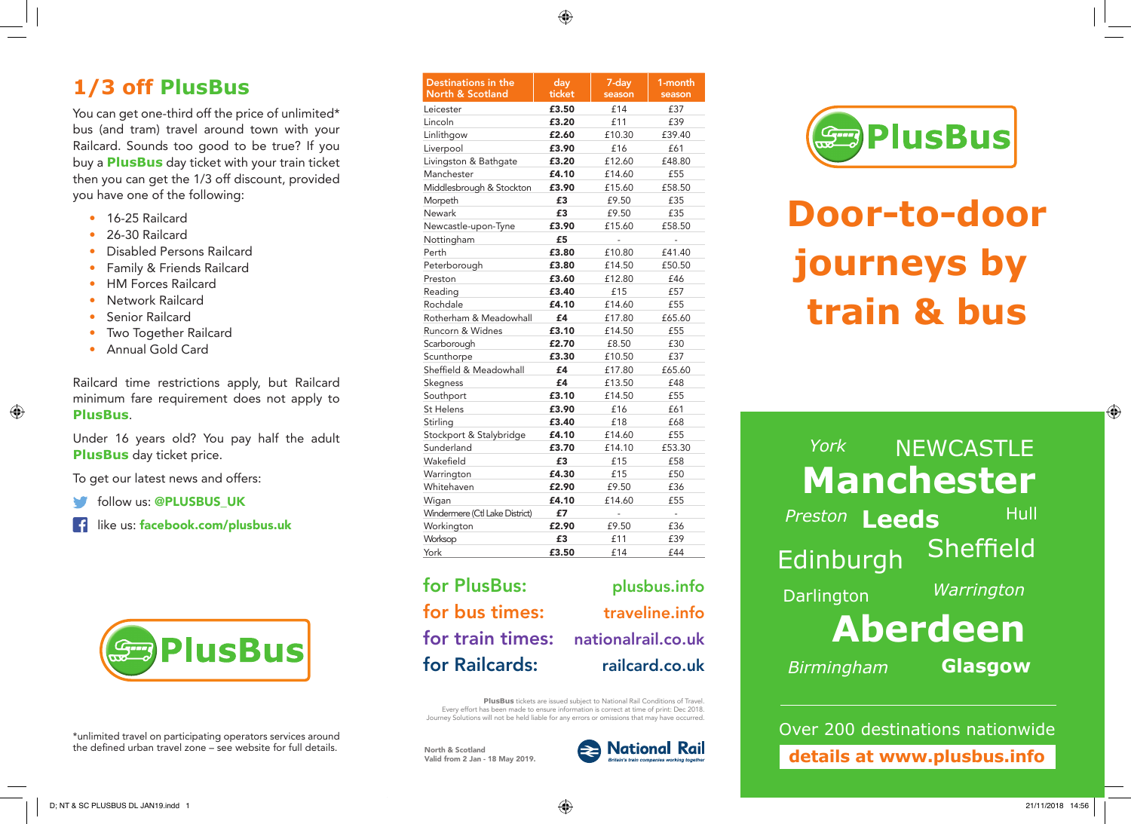◈

# **1/3 off PlusBus**

You can get one-third off the price of unlimited\* bus (and tram) travel around town with your Railcard. Sounds too good to be true? If you buy a **PlusBus** day ticket with your train ticket then you can get the 1/3 off discount, provided you have one of the following:

- 16-25 Railcard
- 26-30 Railcard
- Disabled Persons Railcard
- Family & Friends Railcard
- HM Forces Railcard
- Network Railcard
- Senior Railcard

◈

- Two Together Railcard
- Annual Gold Card

Railcard time restrictions apply, but Railcard minimum fare requirement does not apply to **PlusBus**.

Under 16 years old? You pay half the adult **PlusBus** day ticket price.

To get our latest news and offers:

follow us: @PLUSBUS\_UK

like us: facebook.com/plusbus.uk



\*unlimited travel on participating operators services around the defined urban travel zone – see website for full details.

| Destinations in the<br>North & Scotland | day<br>ticket | 7-day<br>season | 1-month<br>season        |
|-----------------------------------------|---------------|-----------------|--------------------------|
| Leicester                               | £3.50         | £14             | £37                      |
| Lincoln                                 | £3.20         | £11             | £39                      |
| Linlithgow                              | £2.60         | £10.30          | £39.40                   |
| Liverpool                               | £3.90         | £16             | £61                      |
| Livingston & Bathgate                   | £3.20         | £12.60          | £48.80                   |
| Manchester                              | £4.10         | £14.60          | £55                      |
| Middlesbrough & Stockton                | £3.90         | £15.60          | £58.50                   |
| Morpeth                                 | £3            | £9.50           | £35                      |
| Newark                                  | £3            | £9.50           | £35                      |
| Newcastle-upon-Tyne                     | £3.90         | £15.60          | £58.50                   |
| Nottingham                              | £5            |                 |                          |
| Perth                                   | £3.80         | £10.80          | £41.40                   |
| Peterborough                            | £3.80         | £14.50          | £50.50                   |
| Preston                                 | £3.60         | £12.80          | £46                      |
| Reading                                 | £3.40         | £15             | £57                      |
| Rochdale                                | £4.10         | £14.60          | £55                      |
| Rotherham & Meadowhall                  | £4            | £17.80          | £65.60                   |
| Runcorn & Widnes                        | £3.10         | £14.50          | £55                      |
| Scarborough                             | £2.70         | £8.50           | £30                      |
| Scunthorpe                              | £3.30         | £10.50          | £37                      |
| Sheffield & Meadowhall                  | £4            | £17.80          | £65.60                   |
| Skegness                                | £4            | £13.50          | £48                      |
| Southport                               | £3.10         | £14.50          | £55                      |
| <b>St Helens</b>                        | £3.90         | £16             | £61                      |
| Stirling                                | £3.40         | £18             | £68                      |
| Stockport & Stalybridge                 | £4.10         | £14.60          | £55                      |
| Sunderland                              | £3.70         | £14.10          | £53.30                   |
| Wakefield                               | £3            | £15             | £58                      |
| Warrington                              | £4.30         | £15             | £50                      |
| Whitehaven                              | £2.90         | £9.50           | £36                      |
| Wigan                                   | £4.10         | £14.60          | £55                      |
| Windermere (Ctl Lake District)          | £7            | ÷,              | $\overline{\phantom{m}}$ |
| Workington                              | £2.90         | £9.50           | £36                      |
| Worksop                                 | £3            | £11             | £39                      |
| York                                    | £3.50         | £14             | £44                      |
|                                         |               |                 |                          |

for PlusBus: plusbus.info for bus times: traveline.info for train times: nationalrail.co.uk for Railcards: railcard.co.uk

**PlusBus** tickets are issued subject to National Rail Conditions of Travel. Every effort has been made to ensure information is correct at time of print: Dec 2018. Journey Solutions will not be held liable for any errors or omissions that may have occurred.

North & Scotland Valid from 2 Jan - 18 May 2019.



**SED PlusBus** 

# **Door-to-door journeys by. train & bus**

# **Manchester** *York* NEWCASTLE Hull

**Leeds** *Preston* Edinburgh Sheffield

**Darlington** 

*Warrington*

# **Aberdeen**

*Birmingham*

**Glasgow**

Over 200 destinations nationwide **details at www.plusbus.info**

⊕